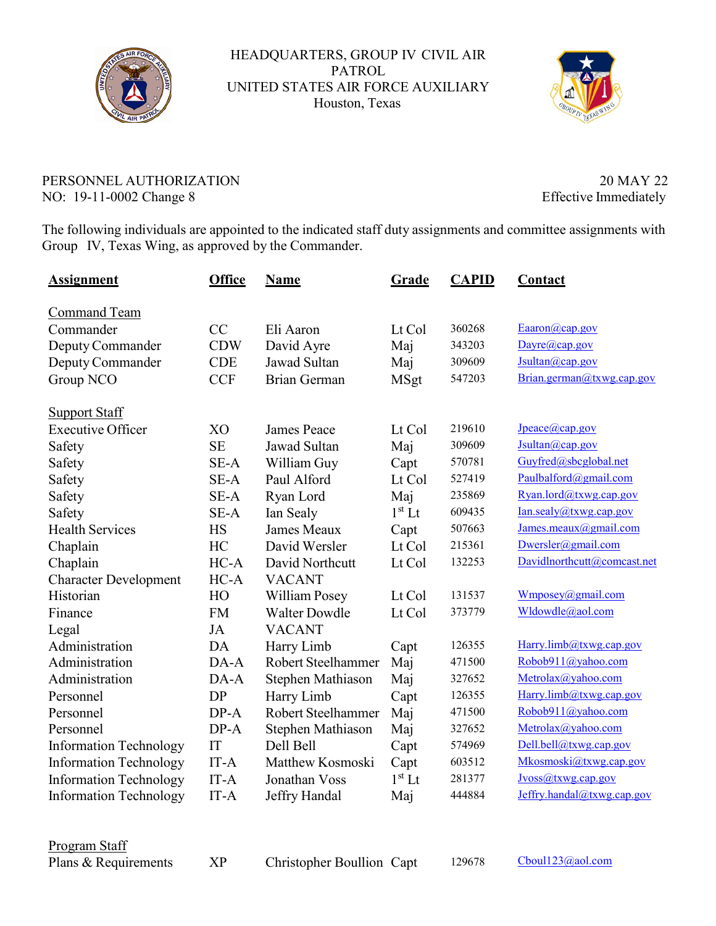

HEADQUARTERS, GROUP IV CIVIL AIR PATROL UNITED STATES AIR FORCE AUXILIARY Houston, Texas



## PERSONNEL AUTHORIZATION 20 MAY 22 NO: 19-11-0002 Change 8 Effective Immediately

The following individuals are appointed to the indicated staff duty assignments and committee assignments with Group IV, Texas Wing, as approved by the Commander.

| <u>Assignment</u>             | <b>Office</b> | <b>Name</b>          | <b>Grade</b> | <b>CAPID</b> | <b>Contact</b>              |
|-------------------------------|---------------|----------------------|--------------|--------------|-----------------------------|
| Command Team                  |               |                      |              |              |                             |
| Commander                     | CC            | Eli Aaron            | Lt Col       | 360268       | Eaaron(a) cap.gov           |
| Deputy Commander              | <b>CDW</b>    | David Ayre           | Maj          | 343203       | Dayre@cap.gov               |
| Deputy Commander              | <b>CDE</b>    | Jawad Sultan         | Maj          | 309609       | Jsultan@cap.gov             |
| Group NCO                     | <b>CCF</b>    | Brian German         | <b>MSgt</b>  | 547203       | Brian.german@txwg.cap.gov   |
| <b>Support Staff</b>          |               |                      |              |              |                             |
| <b>Executive Officer</b>      | XO            | <b>James Peace</b>   | Lt Col       | 219610       | Jpeace@cap.gov              |
| Safety                        | <b>SE</b>     | <b>Jawad Sultan</b>  | Maj          | 309609       | Jsultan@cap.gov             |
| Safety                        | SE-A          | William Guy          | Capt         | 570781       | Guyfred@sbcglobal.net       |
| Safety                        | SE-A          | Paul Alford          | Lt Col       | 527419       | Paulbalford@gmail.com       |
| Safety                        | SE-A          | Ryan Lord            | Maj          | 235869       | Ryan.lord@txwg.cap.gov      |
| Safety                        | SE-A          | Ian Sealy            | $1st$ Lt     | 609435       | Ian.sealy@txwg.cap.gov      |
| <b>Health Services</b>        | <b>HS</b>     | <b>James Meaux</b>   | Capt         | 507663       | James.meaux@gmail.com       |
| Chaplain                      | HC            | David Wersler        | Lt Col       | 215361       | Dwersler@gmail.com          |
| Chaplain                      | $HC-A$        | David Northcutt      | Lt Col       | 132253       | Davidlnorthcutt@comcast.net |
| <b>Character Development</b>  | $HC-A$        | <b>VACANT</b>        |              |              |                             |
| Historian                     | HO            | William Posey        | Lt Col       | 131537       | Wmposey@gmail.com           |
| Finance                       | <b>FM</b>     | <b>Walter Dowdle</b> | Lt Col       | 373779       | Wldowdle@aol.com            |
| Legal                         | JA            | <b>VACANT</b>        |              |              |                             |
| Administration                | DA            | Harry Limb           | Capt         | 126355       | Harry.limb@txwg.cap.gov     |
| Administration                | DA-A          | Robert Steelhammer   | Maj          | 471500       | Robob911@yahoo.com          |
| Administration                | DA-A          | Stephen Mathiason    | Maj          | 327652       | Metrolax@yahoo.com          |
| Personnel                     | <b>DP</b>     | Harry Limb           | Capt         | 126355       | Harry.limb@txwg.cap.gov     |
| Personnel                     | $DP-A$        | Robert Steelhammer   | Maj          | 471500       | Robob911@yahoo.com          |
| Personnel                     | $DP-A$        | Stephen Mathiason    | Maj          | 327652       | Metrolax@yahoo.com          |
| <b>Information Technology</b> | IT            | Dell Bell            | Capt         | 574969       | Dell.bell@txwg.cap.gov      |
| <b>Information Technology</b> | IT-A          | Matthew Kosmoski     | Capt         | 603512       | Mkosmoski@txwg.cap.gov      |
| <b>Information Technology</b> | IT-A          | Jonathan Voss        | $1st$ Lt     | 281377       | Jvoss@txwg.cap.gov          |
| <b>Information Technology</b> | $IT-A$        | Jeffry Handal        | Maj          | 444884       | Jeffry.handal@txwg.cap.gov  |

Program Staff

Plans & Requirements XP Christopher Boullion Capt 129678 Cboul123@aol.com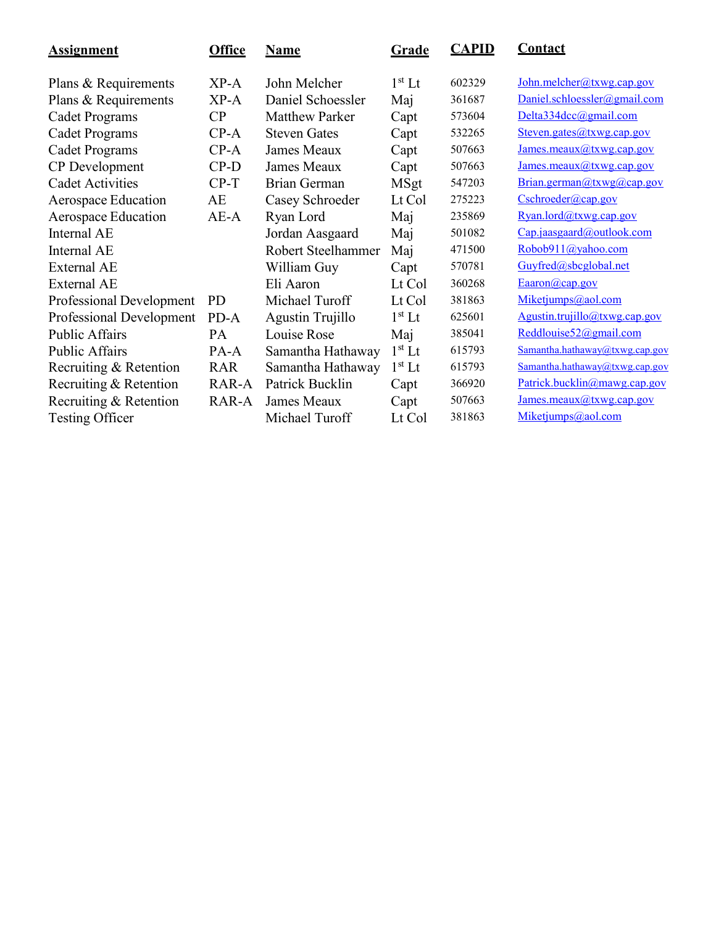| <b>Assignment</b>        | <b>Office</b> | <b>Name</b>           | <b>Grade</b> | <b>CAPID</b> | <b>Contact</b>                 |
|--------------------------|---------------|-----------------------|--------------|--------------|--------------------------------|
| Plans & Requirements     | $XP-A$        | John Melcher          | $1st$ Lt     | 602329       | John.melcher@txwg.cap.gov      |
| Plans & Requirements     | $XP-A$        | Daniel Schoessler     | Maj          | 361687       | Daniel.schloessler@gmail.com   |
| Cadet Programs           | CP            | <b>Matthew Parker</b> | Capt         | 573604       | Delta334dcc@gmail.com          |
| <b>Cadet Programs</b>    | $CP-A$        | <b>Steven Gates</b>   | Capt         | 532265       | Steven.gates@txwg.cap.gov      |
| Cadet Programs           | $CP-A$        | James Meaux           | Capt         | 507663       | James.meaux $(a)$ txwg.cap.gov |
| CP Development           | $CP-D$        | James Meaux           | Capt         | 507663       | James.meaux@txwg.cap.gov       |
| <b>Cadet Activities</b>  | $CP-T$        | Brian German          | <b>MSgt</b>  | 547203       | Brian.german@txwg@cap.gov      |
| Aerospace Education      | AE            | Casey Schroeder       | Lt Col       | 275223       | $Cschroeder(\omega$ cap.gov    |
| Aerospace Education      | $AE-A$        | Ryan Lord             | Maj          | 235869       | Ryan.lord@txwg.cap.gov         |
| Internal AE              |               | Jordan Aasgaard       | Maj          | 501082       | Cap.jaasgaard@outlook.com      |
| Internal AE              |               | Robert Steelhammer    | Maj          | 471500       | Robob911@yahoo.com             |
| <b>External AE</b>       |               | William Guy           | Capt         | 570781       | Guyfred@sbcglobal.net          |
| <b>External AE</b>       |               | Eli Aaron             | Lt Col       | 360268       | Eaaron(a) cap.gov              |
| Professional Development | <b>PD</b>     | Michael Turoff        | Lt Col       | 381863       | Miketjumps@aol.com             |
| Professional Development | PD-A          | Agustin Trujillo      | $1st$ Lt     | 625601       | Agustin.trujillo@txwg.cap.gov  |
| <b>Public Affairs</b>    | PA            | Louise Rose           | Maj          | 385041       | Reddlouise52@gmail.com         |
| <b>Public Affairs</b>    | $PA-A$        | Samantha Hathaway     | $1st$ Lt     | 615793       | Samantha.hathaway@txwg.cap.gov |
| Recruiting & Retention   | <b>RAR</b>    | Samantha Hathaway     | $1st$ Lt     | 615793       | Samantha.hathaway@txwg.cap.gov |
| Recruiting & Retention   | RAR-A         | Patrick Bucklin       | Capt         | 366920       | Patrick.bucklin@mawg.cap.gov   |
| Recruiting & Retention   | RAR-A         | James Meaux           | Capt         | 507663       | James.macaux@txwg.cap.gov      |
| <b>Testing Officer</b>   |               | Michael Turoff        | Lt Col       | 381863       | Miketjumps@aol.com             |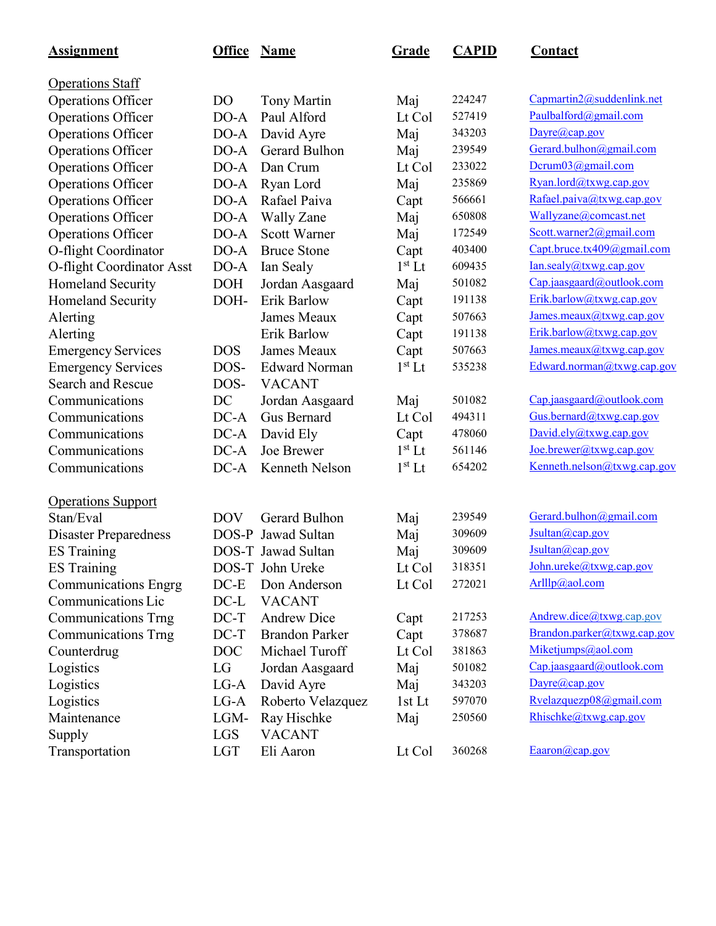| <b>Assignment</b>            | <b>Office</b>  | <b>Name</b>           | <b>Grade</b> | <b>CAPID</b> | <b>Contact</b>              |
|------------------------------|----------------|-----------------------|--------------|--------------|-----------------------------|
| <b>Operations Staff</b>      |                |                       |              |              |                             |
| Operations Officer           | D <sub>O</sub> | <b>Tony Martin</b>    | Maj          | 224247       | Capmartin2@suddenlink.net   |
| <b>Operations Officer</b>    | $DO-A$         | Paul Alford           | Lt Col       | 527419       | Paulbalford@gmail.com       |
| <b>Operations Officer</b>    | $DO-A$         | David Ayre            | Maj          | 343203       | Dayre@cap.gov               |
| Operations Officer           | $DO-A$         | Gerard Bulhon         | Maj          | 239549       | Gerard.bulhon@gmail.com     |
| Operations Officer           | $DO-A$         | Dan Crum              | Lt Col       | 233022       | Dcrum03@gmail.com           |
| Operations Officer           | $DO-A$         | Ryan Lord             | Maj          | 235869       | Ryan.lord@txwg.cap.gov      |
| <b>Operations Officer</b>    | $DO-A$         | Rafael Paiva          | Capt         | 566661       | Rafael.paiva@txwg.cap.gov   |
| <b>Operations Officer</b>    | DO-A           | <b>Wally Zane</b>     | Maj          | 650808       | Wallyzane@comcast.net       |
| <b>Operations Officer</b>    | $DO-A$         | <b>Scott Warner</b>   | Maj          | 172549       | Scott.warner2@gmail.com     |
| O-flight Coordinator         | $DO-A$         | <b>Bruce Stone</b>    | Capt         | 403400       | Capt.bruce.tx409@gmail.com  |
| O-flight Coordinator Asst    | $DO-A$         | Ian Sealy             | $1st$ Lt     | 609435       | Ian.sealy@txwg.cap.gov      |
| Homeland Security            | <b>DOH</b>     | Jordan Aasgaard       | Maj          | 501082       | Cap.jaasgaard@outlook.com   |
| Homeland Security            | DOH-           | Erik Barlow           | Capt         | 191138       | Erik.barlow@txwg.cap.gov    |
| Alerting                     |                | <b>James Meaux</b>    | Capt         | 507663       | James.meaux@txwg.cap.gov    |
| Alerting                     |                | Erik Barlow           | Capt         | 191138       | Erik.barlow@txwg.cap.gov    |
| <b>Emergency Services</b>    | <b>DOS</b>     | <b>James Meaux</b>    | Capt         | 507663       | James.macaux@txwg.cap.gov   |
| <b>Emergency Services</b>    | DOS-           | <b>Edward Norman</b>  | $1st$ Lt     | 535238       | Edward.norman@txwg.cap.gov  |
| <b>Search and Rescue</b>     | DOS-           | <b>VACANT</b>         |              |              |                             |
| Communications               | DC             | Jordan Aasgaard       | Maj          | 501082       | Cap.jaasgaard@outlook.com   |
| Communications               | $DC-A$         | <b>Gus Bernard</b>    | Lt Col       | 494311       | Gus.bernard@txwg.cap.gov    |
| Communications               | $DC-A$         | David Ely             | Capt         | 478060       | David.ely@txwg.cap.gov      |
| Communications               | $DC-A$         | Joe Brewer            | $1st$ Lt     | 561146       | Joe. brewer@txwg. cap.gov   |
| Communications               | $DC-A$         | Kenneth Nelson        | $1st$ Lt     | 654202       | Kenneth.nelson@txwg.cap.gov |
| <b>Operations Support</b>    |                |                       |              |              |                             |
| Stan/Eval                    | <b>DOV</b>     | <b>Gerard Bulhon</b>  | Maj          | 239549       | Gerard.bulhon@gmail.com     |
| <b>Disaster Preparedness</b> |                | DOS-P Jawad Sultan    | Maj          | 309609       | Jsultan@cap.gov             |
| <b>ES</b> Training           |                | DOS-T Jawad Sultan    | Maj          | 309609       | Jsultan@cap.gov             |
| <b>ES Training</b>           |                | DOS-T John Ureke      | Lt Col       | 318351       | John.ureke@txwg.cap.gov     |
| <b>Communications Engrg</b>  | $DC-E$         | Don Anderson          | Lt Col       | 272021       | Arlllp@aol.com              |
| Communications Lic           | $DC-L$         | <b>VACANT</b>         |              |              |                             |
| <b>Communications Trng</b>   | $DC-T$         | <b>Andrew Dice</b>    | Capt         | 217253       | Andrew.dice@txwg.cap.gov    |
| <b>Communications Trng</b>   | $DC-T$         | <b>Brandon Parker</b> | Capt         | 378687       | Brandon.parker@txwg.cap.gov |
| Counterdrug                  | DOC            | Michael Turoff        | Lt Col       | 381863       | Miketjumps@aol.com          |
| Logistics                    | LG             | Jordan Aasgaard       | Maj          | 501082       | Cap.jaasgaard@outlook.com   |
| Logistics                    | $LG-A$         | David Ayre            | Maj          | 343203       | Dayre@cap.gov               |
| Logistics                    | $LG-A$         | Roberto Velazquez     | 1st Lt       | 597070       | Rvelazquezp08@gmail.com     |
| Maintenance                  | LGM-           | Ray Hischke           | Maj          | 250560       | Rhischke@txwg.cap.gov       |
| Supply                       | <b>LGS</b>     | <b>VACANT</b>         |              |              |                             |
| Transportation               | <b>LGT</b>     | Eli Aaron             | Lt Col       | 360268       | Eaaron@cap.gov              |